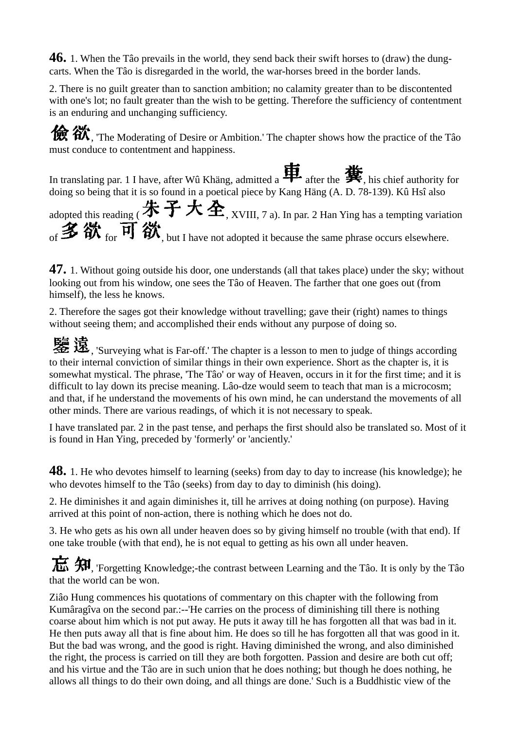**46.** 1. When the Tâo prevails in the world, they send back their swift horses to (draw) the dungcarts. When the Tâo is disregarded in the world, the war-horses breed in the border lands.

2. There is no guilt greater than to sanction ambition; no calamity greater than to be discontented with one's lot; no fault greater than the wish to be getting. Therefore the sufficiency of contentment is an enduring and unchanging sufficiency.

**for**  $\hat{a}$ , The Moderating of Desire or Ambition.' The chapter shows how the practice of the Tâo must conduce to contentment and happiness.

In translating par. 1 I have, after Wû Khäng, admitted a  $\mathbf{H}$  after the  $\mathbf{H}$ , his chief authority for doing so being that it is so found in a poetical piece by Kang Häng (A. D. 78-139). Kû Hsî also

adopted this reading ( $\textbf{\#}$  子 大 全, XVIII, 7 a). In par. 2 Han Ying has a tempting variation of  $\mathbf{\mathcal{Z}}$   $\mathbf{\hat{W}}$  for  $\overline{\mathbf{H}}$   $\mathbf{\hat{W}}$ , but I have not adopted it because the same phrase occurs elsewhere.

**47.** 1. Without going outside his door, one understands (all that takes place) under the sky; without looking out from his window, one sees the Tâo of Heaven. The farther that one goes out (from himself), the less he knows.

2. Therefore the sages got their knowledge without travelling; gave their (right) names to things without seeing them; and accomplished their ends without any purpose of doing so.

 $\mathbb{R}$   $\ddot{\mathbb{R}}$ , 'Surveying what is Far-off.' The chapter is a lesson to men to judge of things according to their internal conviction of similar things in their own experience. Short as the chapter is, it is somewhat mystical. The phrase, 'The Tâo' or way of Heaven, occurs in it for the first time; and it is difficult to lay down its precise meaning. Lâo-dze would seem to teach that man is a microcosm; and that, if he understand the movements of his own mind, he can understand the movements of all other minds. There are various readings, of which it is not necessary to speak.

I have translated par. 2 in the past tense, and perhaps the first should also be translated so. Most of it is found in Han Ying, preceded by 'formerly' or 'anciently.'

**48.** 1. He who devotes himself to learning (seeks) from day to day to increase (his knowledge); he who devotes himself to the Tâo (seeks) from day to day to diminish (his doing).

2. He diminishes it and again diminishes it, till he arrives at doing nothing (on purpose). Having arrived at this point of non-action, there is nothing which he does not do.

3. He who gets as his own all under heaven does so by giving himself no trouble (with that end). If one take trouble (with that end), he is not equal to getting as his own all under heaven.

 $\overline{H}$ ,  $\overline{H}$ , 'Forgetting Knowledge;-the contrast between Learning and the Tâo. It is only by the Tâo that the world can be won.

Ziâo Hung commences his quotations of commentary on this chapter with the following from Kumâragîva on the second par.:--'He carries on the process of diminishing till there is nothing coarse about him which is not put away. He puts it away till he has forgotten all that was bad in it. He then puts away all that is fine about him. He does so till he has forgotten all that was good in it. But the bad was wrong, and the good is right. Having diminished the wrong, and also diminished the right, the process is carried on till they are both forgotten. Passion and desire are both cut off; and his virtue and the Tâo are in such union that he does nothing; but though he does nothing, he allows all things to do their own doing, and all things are done.' Such is a Buddhistic view of the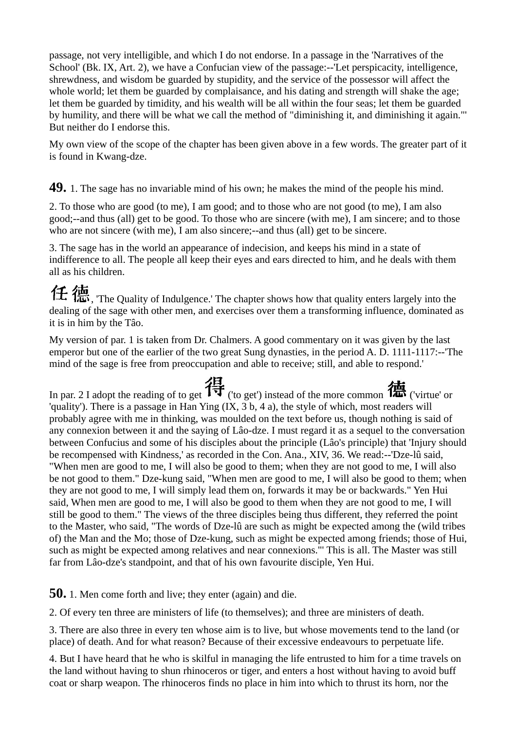passage, not very intelligible, and which I do not endorse. In a passage in the 'Narratives of the School' (Bk. IX, Art. 2), we have a Confucian view of the passage:--'Let perspicacity, intelligence, shrewdness, and wisdom be guarded by stupidity, and the service of the possessor will affect the whole world; let them be guarded by complaisance, and his dating and strength will shake the age; let them be guarded by timidity, and his wealth will be all within the four seas; let them be guarded by humility, and there will be what we call the method of "diminishing it, and diminishing it again."' But neither do I endorse this.

My own view of the scope of the chapter has been given above in a few words. The greater part of it is found in Kwang-dze.

## **49.** 1. The sage has no invariable mind of his own; he makes the mind of the people his mind.

2. To those who are good (to me), I am good; and to those who are not good (to me), I am also good;--and thus (all) get to be good. To those who are sincere (with me), I am sincere; and to those who are not sincere (with me), I am also sincere;--and thus (all) get to be sincere.

3. The sage has in the world an appearance of indecision, and keeps his mind in a state of indifference to all. The people all keep their eyes and ears directed to him, and he deals with them all as his children.

 $f_{\pm}$   $\overline{\text{4m}}$ , The Quality of Indulgence.' The chapter shows how that quality enters largely into the dealing of the sage with other men, and exercises over them a transforming influence, dominated as it is in him by the Tâo.

My version of par. 1 is taken from Dr. Chalmers. A good commentary on it was given by the last emperor but one of the earlier of the two great Sung dynasties, in the period A. D. 1111-1117:--'The mind of the sage is free from preoccupation and able to receive; still, and able to respond.'

In par. 2 I adopt the reading of to get  $\overline{\mathbf{H}}$  ('to get') instead of the more common  $\overline{\mathbf{m}}$  ('virtue' or 'quality'). There is a passage in Han Ying (IX, 3 b, 4 a), the style of which, most readers will probably agree with me in thinking, was moulded on the text before us, though nothing is said of any connexion between it and the saying of Lâo-dze. I must regard it as a sequel to the conversation between Confucius and some of his disciples about the principle (Lâo's principle) that 'Injury should be recompensed with Kindness,' as recorded in the Con. Ana., XIV, 36. We read:--'Dze-lû said, "When men are good to me, I will also be good to them; when they are not good to me, I will also be not good to them." Dze-kung said, "When men are good to me, I will also be good to them; when they are not good to me, I will simply lead them on, forwards it may be or backwards." Yen Hui said, When men are good to me, I will also be good to them when they are not good to me, I will still be good to them." The views of the three disciples being thus different, they referred the point to the Master, who said, "The words of Dze-lû are such as might be expected among the (wild tribes of) the Man and the Mo; those of Dze-kung, such as might be expected among friends; those of Hui, such as might be expected among relatives and near connexions."' This is all. The Master was still far from Lâo-dze's standpoint, and that of his own favourite disciple, Yen Hui.

**50.** 1. Men come forth and live; they enter (again) and die.

2. Of every ten three are ministers of life (to themselves); and three are ministers of death.

3. There are also three in every ten whose aim is to live, but whose movements tend to the land (or place) of death. And for what reason? Because of their excessive endeavours to perpetuate life.

4. But I have heard that he who is skilful in managing the life entrusted to him for a time travels on the land without having to shun rhinoceros or tiger, and enters a host without having to avoid buff coat or sharp weapon. The rhinoceros finds no place in him into which to thrust its horn, nor the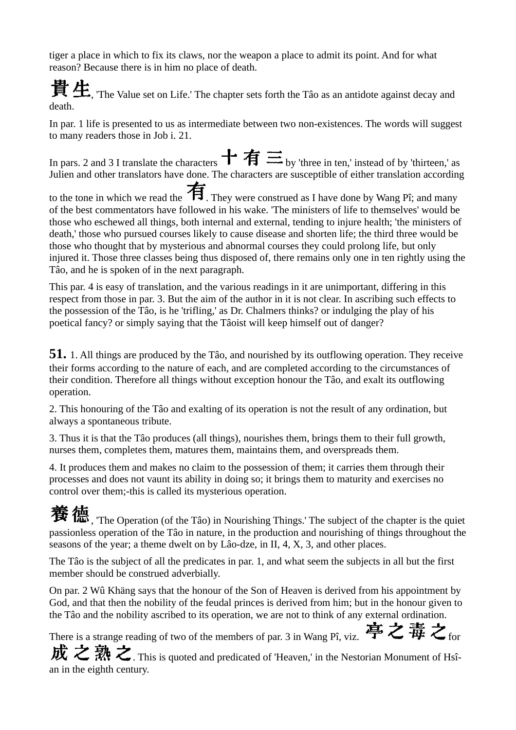tiger a place in which to fix its claws, nor the weapon a place to admit its point. And for what reason? Because there is in him no place of death.

 $\bf{F}\pm\bf{G}$ , The Value set on Life.' The chapter sets forth the Tâo as an antidote against decay and death.

In par. 1 life is presented to us as intermediate between two non-existences. The words will suggest to many readers those in Job i. 21.

In pars. 2 and 3 I translate the characters  $\mathbf{f}$   $\mathbf{\hat{f}}$   $\mathbf{\Xi}$  by 'three in ten,' instead of by 'thirteen,' as Julien and other translators have done. The characters are susceptible of either translation according

to the tone in which we read the  $\overline{\mathbf{H}}$ . They were construed as I have done by Wang Pî; and many of the best commentators have followed in his wake. 'The ministers of life to themselves' would be those who eschewed all things, both internal and external, tending to injure health; 'the ministers of death,' those who pursued courses likely to cause disease and shorten life; the third three would be those who thought that by mysterious and abnormal courses they could prolong life, but only injured it. Those three classes being thus disposed of, there remains only one in ten rightly using the Tâo, and he is spoken of in the next paragraph.

This par. 4 is easy of translation, and the various readings in it are unimportant, differing in this respect from those in par. 3. But the aim of the author in it is not clear. In ascribing such effects to the possession of the Tâo, is he 'trifling,' as Dr. Chalmers thinks? or indulging the play of his poetical fancy? or simply saying that the Tâoist will keep himself out of danger?

**51.** 1. All things are produced by the Tâo, and nourished by its outflowing operation. They receive their forms according to the nature of each, and are completed according to the circumstances of their condition. Therefore all things without exception honour the Tâo, and exalt its outflowing operation.

2. This honouring of the Tâo and exalting of its operation is not the result of any ordination, but always a spontaneous tribute.

3. Thus it is that the Tâo produces (all things), nourishes them, brings them to their full growth, nurses them, completes them, matures them, maintains them, and overspreads them.

4. It produces them and makes no claim to the possession of them; it carries them through their processes and does not vaunt its ability in doing so; it brings them to maturity and exercises no control over them;-this is called its mysterious operation.

 $\mathbf{\ddot{B}}$   $\mathbf{\ddot{B}}$ , The Operation (of the Tâo) in Nourishing Things.' The subject of the chapter is the quiet passionless operation of the Tâo in nature, in the production and nourishing of things throughout the seasons of the year; a theme dwelt on by Lâo-dze, in II, 4, X, 3, and other places.

The Tâo is the subject of all the predicates in par. 1, and what seem the subjects in all but the first member should be construed adverbially.

On par. 2 Wû Khäng says that the honour of the Son of Heaven is derived from his appointment by God, and that then the nobility of the feudal princes is derived from him; but in the honour given to the Tâo and the nobility ascribed to its operation, we are not to think of any external ordination.

There is a strange reading of two of the members of par. 3 in Wang Pî, viz.  $\overline{\mathbf{F}} \mathbf{\geq} \overline{\mathbf{F}} \mathbf{\geq}$  for

成之熟之. This is quoted and predicated of 'Heaven,' in the Nestorian Monument of Hsîan in the eighth century.